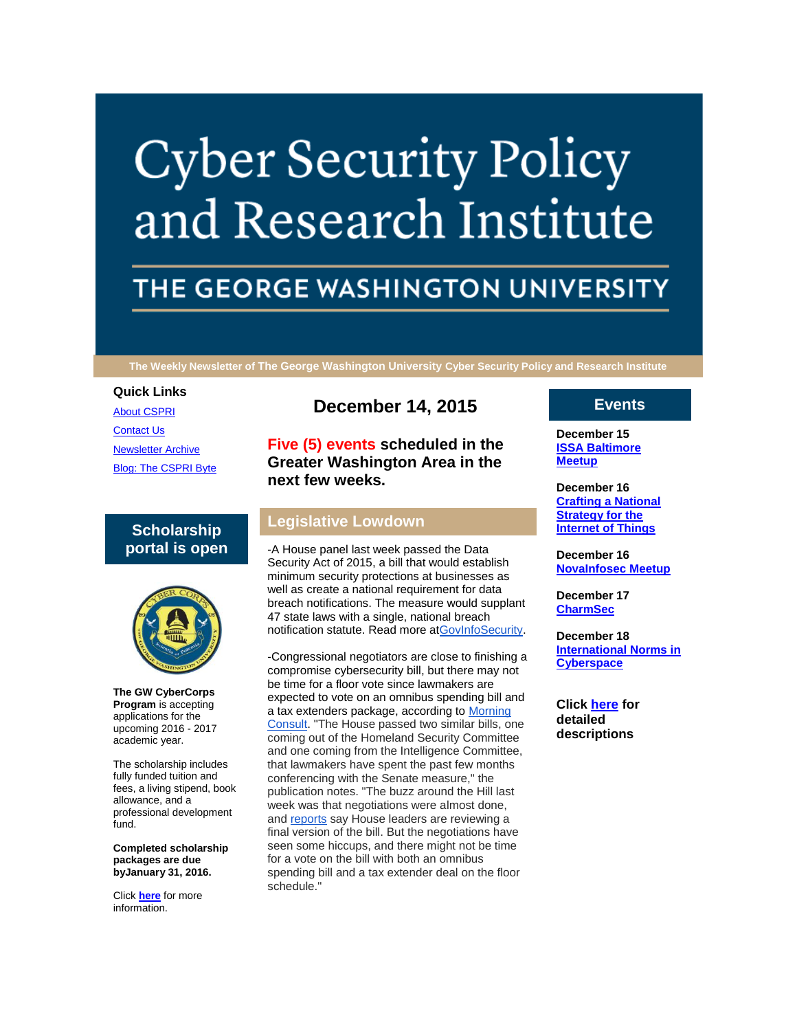# **Cyber Security Policy** and Research Institute

# THE GEORGE WASHINGTON UNIVERSITY

**The Weekly Newsletter of The George Washington University Cyber Security Policy and Research Institute**

#### **Quick Links**

[About CSPRI](http://r20.rs6.net/tn.jsp?f=001T13R6cFxDcdAhqoRCuWANC5kN1QmrVlMDq8nDLlyHNiKHp5AryGgN399nSU16oyHFK4c8ZjsdR9FvqypVuUQRY3wRgGXp7ZwG301q1vcZcg9j10Oc2VNo1y6XkyFhr49jy32j2P2iL_B2hksxvrm3LaATNHZnZc_x_XqB1eZPvwsUDp1l_sui7VXZm9ITXFi&c=HeFeSy3aRR6m_6U_F9wzrIny8x8fURQheWI71MreCgHuLDkxct1lgg==&ch=zr_fzbYnWwHktNSF-SHWDfOolZ40enAh3F9etKqqohdyHQQ7kyHZKg==) [Contact Us](http://r20.rs6.net/tn.jsp?f=001T13R6cFxDcdAhqoRCuWANC5kN1QmrVlMDq8nDLlyHNiKHp5AryGgN399nSU16oyH00lzt1jAsAQQAF-suLJM5sBQo3a8uvmwZwhZUswnWrs5xYFoszr9_WToBTsdt6Yvp4ObkDDVgJNpMHMPfNco155wuXbc1vtWstEnWW0QRG_gmWG3ybpZo5QrTMupA0oRy34Y27tP0TM=&c=HeFeSy3aRR6m_6U_F9wzrIny8x8fURQheWI71MreCgHuLDkxct1lgg==&ch=zr_fzbYnWwHktNSF-SHWDfOolZ40enAh3F9etKqqohdyHQQ7kyHZKg==) [Newsletter Archive](http://r20.rs6.net/tn.jsp?f=001T13R6cFxDcdAhqoRCuWANC5kN1QmrVlMDq8nDLlyHNiKHp5AryGgN399nSU16oyHieDx8MKVPXUvDoIIJrk6pM--BflVJ_gYIz7xit8Cio8AIVggKHCvC0I4vsW6ecYUWtMIpcwfU5gGEkjf8O2brPUtar6-FtS-tqJxNbmP7OQqcO6E_nEWNUFFItdADeZmwrLHsEitgck=&c=HeFeSy3aRR6m_6U_F9wzrIny8x8fURQheWI71MreCgHuLDkxct1lgg==&ch=zr_fzbYnWwHktNSF-SHWDfOolZ40enAh3F9etKqqohdyHQQ7kyHZKg==) [Blog: The CSPRI Byte](http://r20.rs6.net/tn.jsp?f=001T13R6cFxDcdAhqoRCuWANC5kN1QmrVlMDq8nDLlyHNiKHp5AryGgN399nSU16oyHM6adlENN74sCiPIYABaM6_-gd8Olxv6Z9U5IoHh6hEO342PLMZZQ0TApNWcF2k91zAxce7WpXzxXxAVTZx9P4UryNqQelfz7nlRMD4_ZCZYsxZLeEdwg6vGTYf7TgxPb&c=HeFeSy3aRR6m_6U_F9wzrIny8x8fURQheWI71MreCgHuLDkxct1lgg==&ch=zr_fzbYnWwHktNSF-SHWDfOolZ40enAh3F9etKqqohdyHQQ7kyHZKg==)

# **Scholarship portal is open**



**The GW CyberCorps Program** is accepting applications for the upcoming 2016 - 2017 academic year.

The scholarship includes fully funded tuition and fees, a living stipend, book allowance, and a professional development fund.

**Completed scholarship packages are due byJanuary 31, 2016.**

Click **[here](http://r20.rs6.net/tn.jsp?f=001T13R6cFxDcdAhqoRCuWANC5kN1QmrVlMDq8nDLlyHNiKHp5AryGgN-e036vTdwcCMJhH9Js-MQEWVP7Jgab65ZYaP8qAe0heskhF6-Ko6_wOR-gbSequJRis-1gLPReJbFZSGHdEl2rM5mrV6lCpRuOTceIr8yLR5_JmOvvN9hnDoebb74ZUJAZigZ_gn9Yj&c=HeFeSy3aRR6m_6U_F9wzrIny8x8fURQheWI71MreCgHuLDkxct1lgg==&ch=zr_fzbYnWwHktNSF-SHWDfOolZ40enAh3F9etKqqohdyHQQ7kyHZKg==)** for more information.

# **December 14, 2015**

**Five (5) events scheduled in the Greater Washington Area in the next few weeks.**

# **Legislative Lowdown**

-A House panel last week passed the Data Security Act of 2015, a bill that would establish minimum security protections at businesses as well as create a national requirement for data breach notifications. The measure would supplant 47 state laws with a single, national breach notification statute. Read more [atGovInfoSecurity.](http://r20.rs6.net/tn.jsp?f=001T13R6cFxDcdAhqoRCuWANC5kN1QmrVlMDq8nDLlyHNiKHp5AryGgN1k_DB0FWr3YQ9pQCXNXf0DFAj4u0JmtLXJOjZcjVMtEO5pPQyn1ThAGqSVU7rtQzrBcRnrNHvi43OtHi6guEqNFQ9VfYtIqFBCpVASxrzidw3rQOYn0NYVfW0hvjeeVdcvCeWer4YtJIbAxge3O2wvamRmwz1jEaKhsKzXw0ZahvyoST5fxX-IKWZ6rLeMWEghKZM2RQ3ra&c=HeFeSy3aRR6m_6U_F9wzrIny8x8fURQheWI71MreCgHuLDkxct1lgg==&ch=zr_fzbYnWwHktNSF-SHWDfOolZ40enAh3F9etKqqohdyHQQ7kyHZKg==)

-Congressional negotiators are close to finishing a compromise cybersecurity bill, but there may not be time for a floor vote since lawmakers are expected to vote on an omnibus spending bill and a tax extenders package, according to [Morning](http://r20.rs6.net/tn.jsp?f=001T13R6cFxDcdAhqoRCuWANC5kN1QmrVlMDq8nDLlyHNiKHp5AryGgN1k_DB0FWr3YOjd8qZ_BV74BHyQVmhBSH4PKlIBgN3c_Z_gTy04QGy2vVUsLPkV1ZNE3bWfBsKIyF7dRkoflxtue4A2_xsZdsaVP8ZKSGEtlHbJf7EfZFD3zT2FOr-qqUiLYJYEXmonKOcbxFazHK37aaECQUtvUmBdqKF-iWaLjZaJuwq_Kk3YV1BbmaDKFkdX3PzGnPm_9HHiLnbW___x3cEUrFXBZbyw93m4fMwToq6mi3nfzrKip2OGuEKNteKTaDeotNCq791JFttD8_wjChk2cbvMg-sDcJNfdJ1VtC-b9MRHgiAUvIsVEmAKTFPdqtrDOMKkBo6XPIqxmmQgRKT3LGsKrEWluQeuSfyITD2KBzUsEM8LW_92LhoL6gQ71RMRXLk6BQ9AsO5ckmtzi_Yk2mvDYVf8Oob-rSOiJEDJY4Y_q6vP9VVJdwmEhArFXjio56AJTWXfV6fB9qamHuKK1iN0p45U3gYjgfNs3&c=HeFeSy3aRR6m_6U_F9wzrIny8x8fURQheWI71MreCgHuLDkxct1lgg==&ch=zr_fzbYnWwHktNSF-SHWDfOolZ40enAh3F9etKqqohdyHQQ7kyHZKg==)  [Consult.](http://r20.rs6.net/tn.jsp?f=001T13R6cFxDcdAhqoRCuWANC5kN1QmrVlMDq8nDLlyHNiKHp5AryGgN1k_DB0FWr3YOjd8qZ_BV74BHyQVmhBSH4PKlIBgN3c_Z_gTy04QGy2vVUsLPkV1ZNE3bWfBsKIyF7dRkoflxtue4A2_xsZdsaVP8ZKSGEtlHbJf7EfZFD3zT2FOr-qqUiLYJYEXmonKOcbxFazHK37aaECQUtvUmBdqKF-iWaLjZaJuwq_Kk3YV1BbmaDKFkdX3PzGnPm_9HHiLnbW___x3cEUrFXBZbyw93m4fMwToq6mi3nfzrKip2OGuEKNteKTaDeotNCq791JFttD8_wjChk2cbvMg-sDcJNfdJ1VtC-b9MRHgiAUvIsVEmAKTFPdqtrDOMKkBo6XPIqxmmQgRKT3LGsKrEWluQeuSfyITD2KBzUsEM8LW_92LhoL6gQ71RMRXLk6BQ9AsO5ckmtzi_Yk2mvDYVf8Oob-rSOiJEDJY4Y_q6vP9VVJdwmEhArFXjio56AJTWXfV6fB9qamHuKK1iN0p45U3gYjgfNs3&c=HeFeSy3aRR6m_6U_F9wzrIny8x8fURQheWI71MreCgHuLDkxct1lgg==&ch=zr_fzbYnWwHktNSF-SHWDfOolZ40enAh3F9etKqqohdyHQQ7kyHZKg==) "The House passed two similar bills, one coming out of the Homeland Security Committee and one coming from the Intelligence Committee, that lawmakers have spent the past few months conferencing with the Senate measure," the publication notes. "The buzz around the Hill last week was that negotiations were almost done, and [reports](http://r20.rs6.net/tn.jsp?f=001T13R6cFxDcdAhqoRCuWANC5kN1QmrVlMDq8nDLlyHNiKHp5AryGgN1k_DB0FWr3YVENa5pCM1rwdtvALlbF90rnxmnxMFo3VpYV7AmgPQuwyVP6j5wEErKcfzy1RUImuzYO_1uJqdp4rzt7lR4ToyES2i6ZYLh6v8_EryJzHzx_vl-uv8viQMgV06iP-E50A7CcHCILnc2UnlTix4PFLsY_K1nHiyLH_CYINj8TaVPcrOeRmwej97xlamRuTvdVMOlvs4n6_94Q=&c=HeFeSy3aRR6m_6U_F9wzrIny8x8fURQheWI71MreCgHuLDkxct1lgg==&ch=zr_fzbYnWwHktNSF-SHWDfOolZ40enAh3F9etKqqohdyHQQ7kyHZKg==) say House leaders are reviewing a final version of the bill. But the negotiations have seen some hiccups, and there might not be time for a vote on the bill with both an omnibus spending bill and a tax extender deal on the floor schedule."

## **Events**

**December 15 [ISSA Baltimore](http://r20.rs6.net/tn.jsp?f=001T13R6cFxDcdAhqoRCuWANC5kN1QmrVlMDq8nDLlyHNiKHp5AryGgN_O3BBp14LFtxlCb9M4el57HuOSJu5CxZaoj-GcMZvqnlligXqEeuTkSfCHQQ1guH6WTxX_CWt15SgVnT7Qf_915Aja95iwe1kPXA9iRH8KHMHHvSq-lHDKVBHuTF1UAanLnFllQS1ylrqutpViWiQQ=&c=HeFeSy3aRR6m_6U_F9wzrIny8x8fURQheWI71MreCgHuLDkxct1lgg==&ch=zr_fzbYnWwHktNSF-SHWDfOolZ40enAh3F9etKqqohdyHQQ7kyHZKg==)  [Meetup](http://r20.rs6.net/tn.jsp?f=001T13R6cFxDcdAhqoRCuWANC5kN1QmrVlMDq8nDLlyHNiKHp5AryGgN_O3BBp14LFtxlCb9M4el57HuOSJu5CxZaoj-GcMZvqnlligXqEeuTkSfCHQQ1guH6WTxX_CWt15SgVnT7Qf_915Aja95iwe1kPXA9iRH8KHMHHvSq-lHDKVBHuTF1UAanLnFllQS1ylrqutpViWiQQ=&c=HeFeSy3aRR6m_6U_F9wzrIny8x8fURQheWI71MreCgHuLDkxct1lgg==&ch=zr_fzbYnWwHktNSF-SHWDfOolZ40enAh3F9etKqqohdyHQQ7kyHZKg==)**

**December 16 [Crafting a National](http://r20.rs6.net/tn.jsp?f=001T13R6cFxDcdAhqoRCuWANC5kN1QmrVlMDq8nDLlyHNiKHp5AryGgN_O3BBp14LFtxlCb9M4el57HuOSJu5CxZaoj-GcMZvqnlligXqEeuTkSfCHQQ1guH6WTxX_CWt15SgVnT7Qf_915Aja95iwe1kPXA9iRH8KHMHHvSq-lHDKVBHuTF1UAanLnFllQS1ylrqutpViWiQQ=&c=HeFeSy3aRR6m_6U_F9wzrIny8x8fURQheWI71MreCgHuLDkxct1lgg==&ch=zr_fzbYnWwHktNSF-SHWDfOolZ40enAh3F9etKqqohdyHQQ7kyHZKg==)  [Strategy for the](http://r20.rs6.net/tn.jsp?f=001T13R6cFxDcdAhqoRCuWANC5kN1QmrVlMDq8nDLlyHNiKHp5AryGgN_O3BBp14LFtxlCb9M4el57HuOSJu5CxZaoj-GcMZvqnlligXqEeuTkSfCHQQ1guH6WTxX_CWt15SgVnT7Qf_915Aja95iwe1kPXA9iRH8KHMHHvSq-lHDKVBHuTF1UAanLnFllQS1ylrqutpViWiQQ=&c=HeFeSy3aRR6m_6U_F9wzrIny8x8fURQheWI71MreCgHuLDkxct1lgg==&ch=zr_fzbYnWwHktNSF-SHWDfOolZ40enAh3F9etKqqohdyHQQ7kyHZKg==)  [Internet of Things](http://r20.rs6.net/tn.jsp?f=001T13R6cFxDcdAhqoRCuWANC5kN1QmrVlMDq8nDLlyHNiKHp5AryGgN_O3BBp14LFtxlCb9M4el57HuOSJu5CxZaoj-GcMZvqnlligXqEeuTkSfCHQQ1guH6WTxX_CWt15SgVnT7Qf_915Aja95iwe1kPXA9iRH8KHMHHvSq-lHDKVBHuTF1UAanLnFllQS1ylrqutpViWiQQ=&c=HeFeSy3aRR6m_6U_F9wzrIny8x8fURQheWI71MreCgHuLDkxct1lgg==&ch=zr_fzbYnWwHktNSF-SHWDfOolZ40enAh3F9etKqqohdyHQQ7kyHZKg==)**

**December 16 [NovaInfosec Meetup](http://r20.rs6.net/tn.jsp?f=001T13R6cFxDcdAhqoRCuWANC5kN1QmrVlMDq8nDLlyHNiKHp5AryGgN_O3BBp14LFtxlCb9M4el57HuOSJu5CxZaoj-GcMZvqnlligXqEeuTkSfCHQQ1guH6WTxX_CWt15SgVnT7Qf_915Aja95iwe1kPXA9iRH8KHMHHvSq-lHDKVBHuTF1UAanLnFllQS1ylrqutpViWiQQ=&c=HeFeSy3aRR6m_6U_F9wzrIny8x8fURQheWI71MreCgHuLDkxct1lgg==&ch=zr_fzbYnWwHktNSF-SHWDfOolZ40enAh3F9etKqqohdyHQQ7kyHZKg==)**

**December 17 [CharmSec](http://r20.rs6.net/tn.jsp?f=001T13R6cFxDcdAhqoRCuWANC5kN1QmrVlMDq8nDLlyHNiKHp5AryGgN_O3BBp14LFtxlCb9M4el57HuOSJu5CxZaoj-GcMZvqnlligXqEeuTkSfCHQQ1guH6WTxX_CWt15SgVnT7Qf_915Aja95iwe1kPXA9iRH8KHMHHvSq-lHDKVBHuTF1UAanLnFllQS1ylrqutpViWiQQ=&c=HeFeSy3aRR6m_6U_F9wzrIny8x8fURQheWI71MreCgHuLDkxct1lgg==&ch=zr_fzbYnWwHktNSF-SHWDfOolZ40enAh3F9etKqqohdyHQQ7kyHZKg==)**

**December 18 [International Norms in](http://r20.rs6.net/tn.jsp?f=001T13R6cFxDcdAhqoRCuWANC5kN1QmrVlMDq8nDLlyHNiKHp5AryGgN_O3BBp14LFtxlCb9M4el57HuOSJu5CxZaoj-GcMZvqnlligXqEeuTkSfCHQQ1guH6WTxX_CWt15SgVnT7Qf_915Aja95iwe1kPXA9iRH8KHMHHvSq-lHDKVBHuTF1UAanLnFllQS1ylrqutpViWiQQ=&c=HeFeSy3aRR6m_6U_F9wzrIny8x8fURQheWI71MreCgHuLDkxct1lgg==&ch=zr_fzbYnWwHktNSF-SHWDfOolZ40enAh3F9etKqqohdyHQQ7kyHZKg==)  [Cyberspace](http://r20.rs6.net/tn.jsp?f=001T13R6cFxDcdAhqoRCuWANC5kN1QmrVlMDq8nDLlyHNiKHp5AryGgN_O3BBp14LFtxlCb9M4el57HuOSJu5CxZaoj-GcMZvqnlligXqEeuTkSfCHQQ1guH6WTxX_CWt15SgVnT7Qf_915Aja95iwe1kPXA9iRH8KHMHHvSq-lHDKVBHuTF1UAanLnFllQS1ylrqutpViWiQQ=&c=HeFeSy3aRR6m_6U_F9wzrIny8x8fURQheWI71MreCgHuLDkxct1lgg==&ch=zr_fzbYnWwHktNSF-SHWDfOolZ40enAh3F9etKqqohdyHQQ7kyHZKg==)**

**Click [here](http://r20.rs6.net/tn.jsp?f=001T13R6cFxDcdAhqoRCuWANC5kN1QmrVlMDq8nDLlyHNiKHp5AryGgN399nSU16oyHZY8WYK5ROQMvAQmNMA02vE_XDAtXDMXPYs2oWE5mvaCJChOePqxrh-vn7YjnuiFq49uf9NoHWL9AVyxzqPTWtD2cGljEnFJ9PLZQ0DBAXB3ipa2SFCZ1MMa7aKx4fwpXLphCBdr16OhtyzIc_2xXcQ==&c=HeFeSy3aRR6m_6U_F9wzrIny8x8fURQheWI71MreCgHuLDkxct1lgg==&ch=zr_fzbYnWwHktNSF-SHWDfOolZ40enAh3F9etKqqohdyHQQ7kyHZKg==) for detailed descriptions**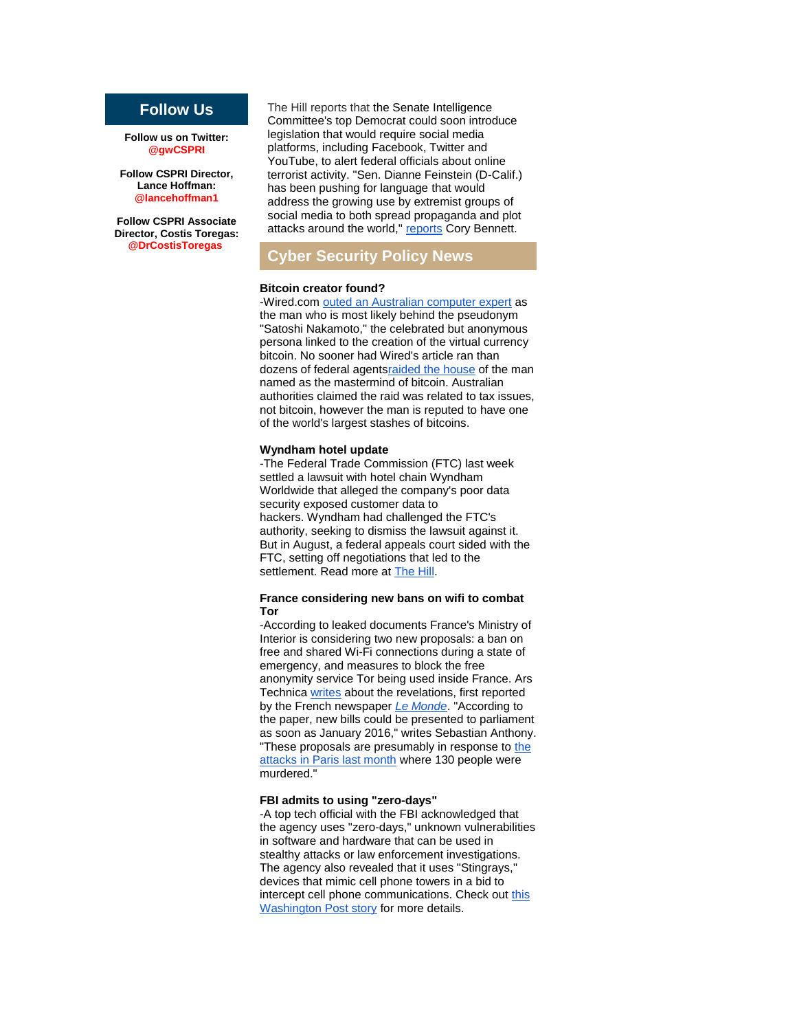# **Follow Us**

**Follow us on Twitter: @gwCSPRI**

**Follow CSPRI Director, Lance Hoffman: @lancehoffman1**

**Follow CSPRI Associate Director, Costis Toregas: @DrCostisToregas**

The Hill reports that the Senate Intelligence Committee's top Democrat could soon introduce legislation that would require social media platforms, including Facebook, Twitter and YouTube, to alert federal officials about online terrorist activity. "Sen. Dianne Feinstein (D-Calif.) has been pushing for language that would address the growing use by extremist groups of social media to both spread propaganda and plot attacks around the world," [reports](http://r20.rs6.net/tn.jsp?f=001T13R6cFxDcdAhqoRCuWANC5kN1QmrVlMDq8nDLlyHNiKHp5AryGgN1k_DB0FWr3Y7tTHeiKA02ScYa9EKkwe9HqP5Z5fIpXkTEmzo-QJd8wNkYbgASze1fQ3rz80r6UKpkZaeyzt1xt9lcrj-rQPwwr8Ahf11oceYNRPPLdBSlE8-zOeyENMjVgwds9HPwD8yJFD_b9F7HWnebTMNubeyTeR-NMgKbuv-rA6rh8Al39rH1Nd8yyqZCKF_e6keV-IBV8rKRK75sKnDWqRNtwr3FUoD8kfBuTO&c=HeFeSy3aRR6m_6U_F9wzrIny8x8fURQheWI71MreCgHuLDkxct1lgg==&ch=zr_fzbYnWwHktNSF-SHWDfOolZ40enAh3F9etKqqohdyHQQ7kyHZKg==) Cory Bennett.

# **Cyber Security Policy News**

#### **Bitcoin creator found?**

-Wired.com [outed an Australian computer expert](http://r20.rs6.net/tn.jsp?f=001T13R6cFxDcdAhqoRCuWANC5kN1QmrVlMDq8nDLlyHNiKHp5AryGgN1k_DB0FWr3YCLTom2j-EUOMxEqyahdy1OCa7CLRy2DcDAeohsF_5Atq-CYOUbe11fyd6-3RPPtbRiCv_aDDyRCUhQL4p5FI_bdJ-CHmnUVDr3Px1bIp0Un2oQ6cbuL4GSqm4NKVTnAqmIi4Mp_74vLhssdi7SmnUOWswzgdEWSCwQlWkh5u0H1-4gRkLzHOmTRgEXpjkrea_CAqv1ZaQ0-HdGGpnVMVVS8SpDZf9AQY&c=HeFeSy3aRR6m_6U_F9wzrIny8x8fURQheWI71MreCgHuLDkxct1lgg==&ch=zr_fzbYnWwHktNSF-SHWDfOolZ40enAh3F9etKqqohdyHQQ7kyHZKg==) as the man who is most likely behind the pseudonym "Satoshi Nakamoto," the celebrated but anonymous persona linked to the creation of the virtual currency bitcoin. No sooner had Wired's article ran than dozens of federal agent[sraided the house](http://r20.rs6.net/tn.jsp?f=001T13R6cFxDcdAhqoRCuWANC5kN1QmrVlMDq8nDLlyHNiKHp5AryGgN1k_DB0FWr3YfpP-EJx093X4HlsTFZ6JNyxbJuXoGrsnTkULTHc6-CXXTE3yMUta3-GEhNofJYaZ4_B3GEDeT-evU02Sybm4P3ZuegkfHx-IIbufom70kCBFSLrWEm8SsTZssXP7jYLCL3GwXv1a__6J9KKX8SNX1zvqwwXWeM4fe6C1VY1sDHYfesAMDVWNFHnYIcNmtgf0&c=HeFeSy3aRR6m_6U_F9wzrIny8x8fURQheWI71MreCgHuLDkxct1lgg==&ch=zr_fzbYnWwHktNSF-SHWDfOolZ40enAh3F9etKqqohdyHQQ7kyHZKg==) of the man named as the mastermind of bitcoin. Australian authorities claimed the raid was related to tax issues, not bitcoin, however the man is reputed to have one of the world's largest stashes of bitcoins.

#### **Wyndham hotel update**

-The Federal Trade Commission (FTC) last week settled a lawsuit with hotel chain Wyndham Worldwide that alleged the company's poor data security exposed customer data to hackers. Wyndham had challenged the FTC's authority, seeking to dismiss the lawsuit against it. But in August, a federal appeals court [sided](http://r20.rs6.net/tn.jsp?f=001T13R6cFxDcdAhqoRCuWANC5kN1QmrVlMDq8nDLlyHNiKHp5AryGgN1k_DB0FWr3Ytn9bIMO6n0_TpMLh9-nHiAv2IwJ0pKbjJ6LHGss8BczKtjyYnPuQ0XxLMueqFt7_w1g91X7gWS5qsXbPSK5v1dZ7sHK1vj8bEvRGBkD4RX0LJAiwCWVPDYD2TeaPOuvtclwFwfW1rvcXTjToEZjOyY0WtjKFPydaggEbL1qbAC5Yt5BG-wfVf2Dt38X4e7_v0kZglPaO2kjnsNoRL3Q0mw==&c=HeFeSy3aRR6m_6U_F9wzrIny8x8fURQheWI71MreCgHuLDkxct1lgg==&ch=zr_fzbYnWwHktNSF-SHWDfOolZ40enAh3F9etKqqohdyHQQ7kyHZKg==) with the FTC, setting off negotiations that led to the settlement. Read more at [The Hill.](http://r20.rs6.net/tn.jsp?f=001T13R6cFxDcdAhqoRCuWANC5kN1QmrVlMDq8nDLlyHNiKHp5AryGgN1k_DB0FWr3Y9mLWoWloYo1bCCfwqjO0PpTEQGbqFe6GGTp4ds9GZmc_AmnCbYMrIh9JjWw4HywA08_6130iQF6QqjwbFgWtZzJU4JZhqN5R34i2YKer7JTjb1jMc7YY8ISbVlwPiJ0u1vft0ncMVjiHyazXtzQMThd4XBOJFTxfEEIfdnRdZHqwnJMIKEOxt-TOrcqbfjjvlCmQjPTNJUIdH6_Cvmxtnw==&c=HeFeSy3aRR6m_6U_F9wzrIny8x8fURQheWI71MreCgHuLDkxct1lgg==&ch=zr_fzbYnWwHktNSF-SHWDfOolZ40enAh3F9etKqqohdyHQQ7kyHZKg==)

#### **France considering new bans on wifi to combat Tor**

-According to leaked documents France's Ministry of Interior is considering two new proposals: a ban on free and shared Wi-Fi connections during a state of emergency, and measures to block the free anonymity service Tor being used inside France. Ars Technica [writes](http://r20.rs6.net/tn.jsp?f=001T13R6cFxDcdAhqoRCuWANC5kN1QmrVlMDq8nDLlyHNiKHp5AryGgN1k_DB0FWr3YVwXW1AGAP4hxYuy9zbfAHMjYESigq0FKx2lXJT8yWbYTG2MPhyOml-ZxRNmzICinMsMYfeCAxkOa7ZI5sU18y0JqpisbTts9Ng-iW4BC2mNHzJY-VyrfDB63X0fx_sXk9B_qtPqJiowwdsevmnLXk6R165J_I9NobP7IrVY_cUfuVbTbk8ww6WB9RbwEj7CCVir6FmSGymcmP6LL3nd_lQ==&c=HeFeSy3aRR6m_6U_F9wzrIny8x8fURQheWI71MreCgHuLDkxct1lgg==&ch=zr_fzbYnWwHktNSF-SHWDfOolZ40enAh3F9etKqqohdyHQQ7kyHZKg==) about the revelations, first reported by the French newspaper *[Le Monde](http://r20.rs6.net/tn.jsp?f=001T13R6cFxDcdAhqoRCuWANC5kN1QmrVlMDq8nDLlyHNiKHp5AryGgN1k_DB0FWr3Ytzcthx3EUQdhNUY0i7NnwxnMEDAz-N2T1XMWyjXbuhvwObfXo2G8Lx4boXct52-62qfzwIoKSCtpnAd80QrLCZXWY6VS-46l5jr-CD-o-v7LeCDmjMwOcQWVxKv-_YKcM7p5Qf9RwiCsewpZI009d8U_otnX7uK12_Zg_nIr6gTZNWjLnMzDr0rHEEaPcgta1FDkHHGSaY9c9VuNpSTaYphky_GVv0qVbE8-XEi1d_Oh75Tlid7wouGozhTJ0hS7&c=HeFeSy3aRR6m_6U_F9wzrIny8x8fURQheWI71MreCgHuLDkxct1lgg==&ch=zr_fzbYnWwHktNSF-SHWDfOolZ40enAh3F9etKqqohdyHQQ7kyHZKg==)*. "According to the paper, new bills could be presented to parliament as soon as January 2016," writes Sebastian Anthony. "These proposals are presumably in response to [the](http://r20.rs6.net/tn.jsp?f=001T13R6cFxDcdAhqoRCuWANC5kN1QmrVlMDq8nDLlyHNiKHp5AryGgN1k_DB0FWr3YZWXzxx-g2MwrCDZ2C7i8Heu7JWPq1EjutGhaEFmNFie-4h-7WiHd97Ga6oulMOrLsnV29DhXT_oeyo2zFKcuMbhPlj9CaF7keASvcwxJ_bMKNbEeJMDG1jHYeMxyAUPVfBzoIUH__evxhQ1VPUec248Pddj2F7168MfthludqOl1awDoS1SD4j2rr29BAlcWYtZmZpF4KlZ5ZRTLJYEqUssYDh40R5QXv_B7ASo04BhG2_MUAu-oVA==&c=HeFeSy3aRR6m_6U_F9wzrIny8x8fURQheWI71MreCgHuLDkxct1lgg==&ch=zr_fzbYnWwHktNSF-SHWDfOolZ40enAh3F9etKqqohdyHQQ7kyHZKg==)  [attacks in Paris last month](http://r20.rs6.net/tn.jsp?f=001T13R6cFxDcdAhqoRCuWANC5kN1QmrVlMDq8nDLlyHNiKHp5AryGgN1k_DB0FWr3YZWXzxx-g2MwrCDZ2C7i8Heu7JWPq1EjutGhaEFmNFie-4h-7WiHd97Ga6oulMOrLsnV29DhXT_oeyo2zFKcuMbhPlj9CaF7keASvcwxJ_bMKNbEeJMDG1jHYeMxyAUPVfBzoIUH__evxhQ1VPUec248Pddj2F7168MfthludqOl1awDoS1SD4j2rr29BAlcWYtZmZpF4KlZ5ZRTLJYEqUssYDh40R5QXv_B7ASo04BhG2_MUAu-oVA==&c=HeFeSy3aRR6m_6U_F9wzrIny8x8fURQheWI71MreCgHuLDkxct1lgg==&ch=zr_fzbYnWwHktNSF-SHWDfOolZ40enAh3F9etKqqohdyHQQ7kyHZKg==) where 130 people were murdered."

#### **FBI admits to using "zero-days"**

-A top tech official with the FBI acknowledged that the agency uses "zero-days," unknown vulnerabilities in software and hardware that can be used in stealthy attacks or law enforcement investigations. The agency also revealed that it uses "Stingrays," devices that mimic cell phone towers in a bid to intercept cell phone communications. Check out [this](http://r20.rs6.net/tn.jsp?f=001T13R6cFxDcdAhqoRCuWANC5kN1QmrVlMDq8nDLlyHNiKHp5AryGgN1k_DB0FWr3Y1ulamQSqcJzwxOOLJw_Hv1qM0ijJ7gY3o-OZl6KlypVRLZh_NcbRvJ-ovpkZj8Wd7A96yP4K7PsE5ye1j7N4Bnr6abK8rn3z6OFL3Cfoa_mUkewcbTzAU62RJZXG-jyQGchC5uPZte8eOQ4c-rkTesdjXUb3d1-V8cni-fN2JLqLXiyC8uGlqp-JsN4ZNcBOJUj9pGv3SC9bCS1oSxK1-eF7GgyH3G5aoBGzhfwE7ZrvSiCAuJohnFJ7jHUo8YINLNymB9Ny66wKep8V0Xy5ZDvvT5KxXa0R1fOF_9ArMvmziZLBqOUoBLRo-x-PPc2DRF5NqmiT4JQ4HED2OSLApA==&c=HeFeSy3aRR6m_6U_F9wzrIny8x8fURQheWI71MreCgHuLDkxct1lgg==&ch=zr_fzbYnWwHktNSF-SHWDfOolZ40enAh3F9etKqqohdyHQQ7kyHZKg==)  [Washington Post story](http://r20.rs6.net/tn.jsp?f=001T13R6cFxDcdAhqoRCuWANC5kN1QmrVlMDq8nDLlyHNiKHp5AryGgN1k_DB0FWr3Y1ulamQSqcJzwxOOLJw_Hv1qM0ijJ7gY3o-OZl6KlypVRLZh_NcbRvJ-ovpkZj8Wd7A96yP4K7PsE5ye1j7N4Bnr6abK8rn3z6OFL3Cfoa_mUkewcbTzAU62RJZXG-jyQGchC5uPZte8eOQ4c-rkTesdjXUb3d1-V8cni-fN2JLqLXiyC8uGlqp-JsN4ZNcBOJUj9pGv3SC9bCS1oSxK1-eF7GgyH3G5aoBGzhfwE7ZrvSiCAuJohnFJ7jHUo8YINLNymB9Ny66wKep8V0Xy5ZDvvT5KxXa0R1fOF_9ArMvmziZLBqOUoBLRo-x-PPc2DRF5NqmiT4JQ4HED2OSLApA==&c=HeFeSy3aRR6m_6U_F9wzrIny8x8fURQheWI71MreCgHuLDkxct1lgg==&ch=zr_fzbYnWwHktNSF-SHWDfOolZ40enAh3F9etKqqohdyHQQ7kyHZKg==) for more details.